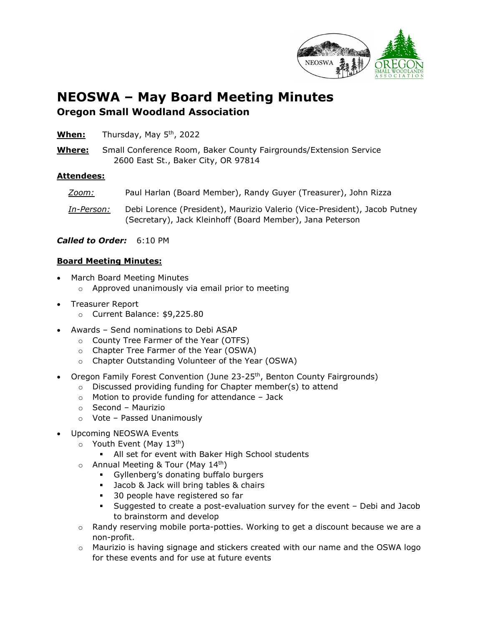

## **NEOSWA – May Board Meeting Minutes Oregon Small Woodland Association**

- **When:** Thursday, May 5th, 2022
- **Where:** Small Conference Room, Baker County Fairgrounds/Extension Service 2600 East St., Baker City, OR 97814

## **Attendees:**

*Zoom:* Paul Harlan (Board Member), Randy Guyer (Treasurer), John Rizza *In-Person:* Debi Lorence (President), Maurizio Valerio (Vice-President), Jacob Putney (Secretary), Jack Kleinhoff (Board Member), Jana Peterson

*Called to Order:* 6:10 PM

## **Board Meeting Minutes:**

- March Board Meeting Minutes
	- o Approved unanimously via email prior to meeting
- Treasurer Report
	- o Current Balance: \$9,225.80
- Awards Send nominations to Debi ASAP
	- o County Tree Farmer of the Year (OTFS)
	- o Chapter Tree Farmer of the Year (OSWA)
	- o Chapter Outstanding Volunteer of the Year (OSWA)
- Oregon Family Forest Convention (June 23-25<sup>th</sup>, Benton County Fairgrounds)
	- o Discussed providing funding for Chapter member(s) to attend
	- $\circ$  Motion to provide funding for attendance Jack
	- o Second Maurizio
	- o Vote Passed Unanimously
- Upcoming NEOSWA Events
	- $\circ$  Youth Event (May 13<sup>th</sup>)
		- All set for event with Baker High School students
	- $\circ$  Annual Meeting & Tour (May 14<sup>th</sup>)
		- Gyllenberg's donating buffalo burgers
		- **Jacob & Jack will bring tables & chairs**
		- **30 people have registered so far**
		- Suggested to create a post-evaluation survey for the event Debi and Jacob to brainstorm and develop
	- $\circ$  Randy reserving mobile porta-potties. Working to get a discount because we are a non-profit.
	- o Maurizio is having signage and stickers created with our name and the OSWA logo for these events and for use at future events